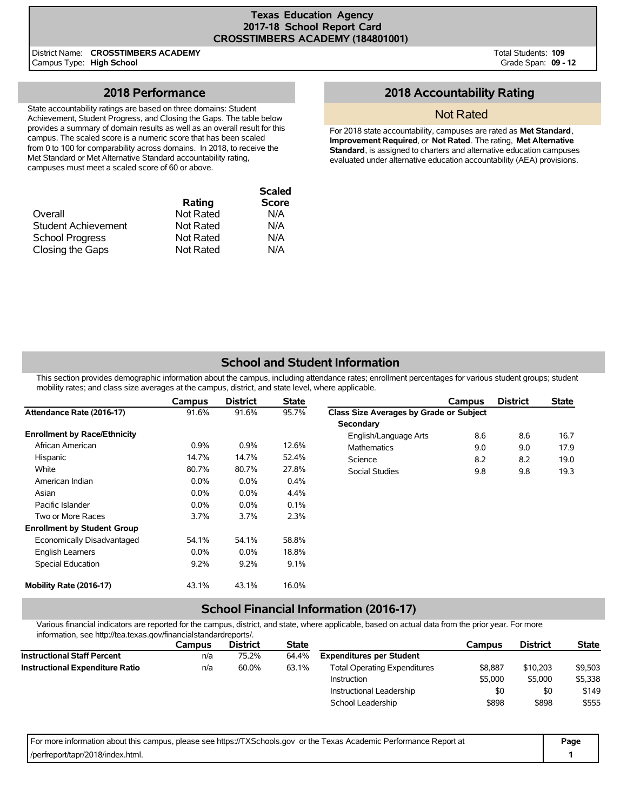### **Texas Education Agency 2017-18 School Report Card CROSSTIMBERS ACADEMY (184801001)**

District Name: **CROSSTIMBERS ACADEMY** Campus Type: **High School**

Total Students: **109** Grade Span: **09 - 12**

## **2018 Performance**

State accountability ratings are based on three domains: Student Achievement, Student Progress, and Closing the Gaps. The table below provides a summary of domain results as well as an overall result for this campus. The scaled score is a numeric score that has been scaled from 0 to 100 for comparability across domains. In 2018, to receive the Met Standard or Met Alternative Standard accountability rating, campuses must meet a scaled score of 60 or above.

|                        |           | <b>Scaled</b> |
|------------------------|-----------|---------------|
|                        | Rating    | <b>Score</b>  |
| Overall                | Not Rated | N/A           |
| Student Achievement    | Not Rated | N/A           |
| <b>School Progress</b> | Not Rated | N/A           |
| Closing the Gaps       | Not Rated | N/A           |

## **2018 Accountability Rating**

### Not Rated

For 2018 state accountability, campuses are rated as **Met Standard**, **Improvement Required**, or **Not Rated**. The rating, **Met Alternative Standard**, is assigned to charters and alternative education campuses evaluated under alternative education accountability (AEA) provisions.

# **School and Student Information**

This section provides demographic information about the campus, including attendance rates; enrollment percentages for various student groups; student mobility rates; and class size averages at the campus, district, and state level, where applicable.

|                                     | Campus  | <b>District</b> | <b>State</b> |                                                | Campus | <b>District</b> | <b>State</b> |
|-------------------------------------|---------|-----------------|--------------|------------------------------------------------|--------|-----------------|--------------|
| Attendance Rate (2016-17)           | 91.6%   | 91.6%           | 95.7%        | <b>Class Size Averages by Grade or Subject</b> |        |                 |              |
|                                     |         |                 |              | Secondary                                      |        |                 |              |
| <b>Enrollment by Race/Ethnicity</b> |         |                 |              | English/Language Arts                          | 8.6    | 8.6             | 16.7         |
| African American                    | 0.9%    | 0.9%            | 12.6%        | <b>Mathematics</b>                             | 9.0    | 9.0             | 17.9         |
| Hispanic                            | 14.7%   | 14.7%           | 52.4%        | Science                                        | 8.2    | 8.2             | 19.0         |
| White                               | 80.7%   | 80.7%           | 27.8%        | Social Studies                                 | 9.8    | 9.8             | 19.3         |
| American Indian                     | $0.0\%$ | $0.0\%$         | 0.4%         |                                                |        |                 |              |
| Asian                               | $0.0\%$ | $0.0\%$         | 4.4%         |                                                |        |                 |              |
| Pacific Islander                    | $0.0\%$ | $0.0\%$         | 0.1%         |                                                |        |                 |              |
| Two or More Races                   | 3.7%    | $3.7\%$         | 2.3%         |                                                |        |                 |              |
| <b>Enrollment by Student Group</b>  |         |                 |              |                                                |        |                 |              |
| Economically Disadvantaged          | 54.1%   | 54.1%           | 58.8%        |                                                |        |                 |              |
| <b>English Learners</b>             | $0.0\%$ | $0.0\%$         | 18.8%        |                                                |        |                 |              |
| Special Education                   | 9.2%    | 9.2%            | 9.1%         |                                                |        |                 |              |
| Mobility Rate (2016-17)             | 43.1%   | 43.1%           | 16.0%        |                                                |        |                 |              |

### **School Financial Information (2016-17)**

Various financial indicators are reported for the campus, district, and state, where applicable, based on actual data from the prior year. For more information, see http://tea.texas.gov/financialstandardreports/.

|                                        | Campus | <b>District</b> | <b>State</b> |                                     | Campus  | <b>District</b> | <b>State</b> |
|----------------------------------------|--------|-----------------|--------------|-------------------------------------|---------|-----------------|--------------|
| <b>Instructional Staff Percent</b>     | n/a    | 75.2%           | 64.4%        | <b>Expenditures per Student</b>     |         |                 |              |
| <b>Instructional Expenditure Ratio</b> | n/a    | 60.0%           | 63.1%        | <b>Total Operating Expenditures</b> | \$8,887 | \$10,203        | \$9,503      |
|                                        |        |                 |              | Instruction                         | \$5,000 | \$5,000         | \$5,338      |
|                                        |        |                 |              | Instructional Leadership            | \$0     | \$0             | \$149        |
|                                        |        |                 |              | School Leadership                   | \$898   | \$898           | \$555        |
|                                        |        |                 |              |                                     |         |                 |              |

| For more information about this campus, please see https://TXSchools.gov or the Texas Academic Performance Report at | Page |
|----------------------------------------------------------------------------------------------------------------------|------|
| //perfreport/tapr/2018/index.html.                                                                                   |      |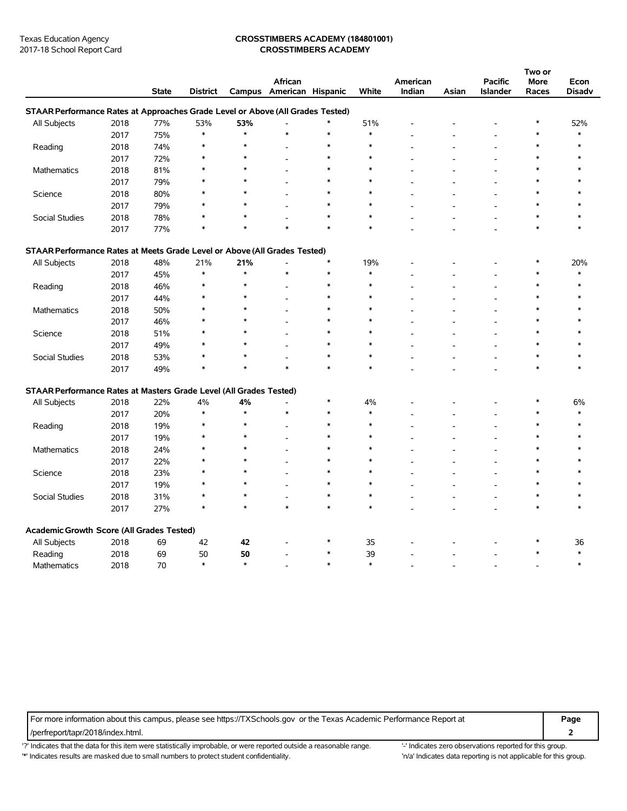### Texas Education Agency **CROSSTIMBERS ACADEMY (184801001)** 2017-18 School Report Card **CROSSTIMBERS ACADEMY**

|                                                                                |      |              |                 |               |                          |        |              |          |       |                | Two or  |               |
|--------------------------------------------------------------------------------|------|--------------|-----------------|---------------|--------------------------|--------|--------------|----------|-------|----------------|---------|---------------|
|                                                                                |      |              |                 |               | African                  |        |              | American |       | <b>Pacific</b> | More    | Econ          |
|                                                                                |      | <b>State</b> | <b>District</b> |               | Campus American Hispanic |        | White        | Indian   | Asian | Islander       | Races   | <b>Disadv</b> |
| STAAR Performance Rates at Approaches Grade Level or Above (All Grades Tested) |      |              |                 |               |                          |        |              |          |       |                |         |               |
| All Subjects                                                                   | 2018 | 77%          | 53%             | 53%           | ÷,                       | $\ast$ | 51%          |          |       | ۰              | $\ast$  | 52%           |
|                                                                                | 2017 | 75%          | $\ast$          | $\star$       | $\ast$                   | $\ast$ | $\ast$       |          |       |                | $\ast$  | $\ast$        |
| Reading                                                                        | 2018 | 74%          | $\ast$          | $\star$       |                          | $\ast$ | $\ast$       |          |       | L              | $\ast$  | $\ast$        |
|                                                                                | 2017 | 72%          | $\ast$          | $\star$       |                          | $\ast$ | $\ast$       |          |       |                | $\ast$  | ∗             |
| <b>Mathematics</b>                                                             | 2018 | 81%          | ж               | ÷             |                          | $\ast$ | $\ast$       |          |       | Ē,             | $\ast$  |               |
|                                                                                | 2017 | 79%          |                 |               |                          | $\ast$ | $\ast$       |          |       |                | $\ast$  |               |
| Science                                                                        | 2018 | 80%          | $\ast$          |               |                          | $\ast$ | $\ast$       |          |       |                | $\ast$  |               |
|                                                                                | 2017 | 79%          | $\ast$          | $\star$       |                          | $\ast$ | $\ast$       |          |       |                | $\ast$  |               |
| Social Studies                                                                 | 2018 | 78%          |                 | $\star$       |                          | $\ast$ | $\ast$       |          |       | Ē,             | $\ast$  |               |
|                                                                                | 2017 | 77%          |                 | $\star$       | $\ast$                   | $\ast$ | $\ast$       |          |       |                | $\ast$  | $\ast$        |
| STAAR Performance Rates at Meets Grade Level or Above (All Grades Tested)      |      |              |                 |               |                          |        |              |          |       |                |         |               |
| All Subjects                                                                   | 2018 | 48%          | 21%             | 21%           |                          | $\ast$ | 19%          |          |       |                | $\ast$  | 20%           |
|                                                                                | 2017 | 45%          | $\ast$          | $\star$       | $\ast$                   | $\ast$ | $\ast$       |          |       |                | $\ast$  | $\ast$        |
| Reading                                                                        | 2018 | 46%          | $\ast$          | $\star$       |                          | $\ast$ | $\ast$       |          |       | L              | $\ast$  | $\ast$        |
|                                                                                | 2017 | 44%          |                 |               |                          | $\ast$ |              |          |       |                |         |               |
| <b>Mathematics</b>                                                             | 2018 | 50%          | $\ast$          |               |                          | $\ast$ | $\ast$       |          |       |                | $\ast$  | $\ast$        |
|                                                                                | 2017 | 46%          |                 |               |                          | $\ast$ | $\ast$       |          |       | L,             | $\ast$  | $\ast$        |
| Science                                                                        | 2018 | 51%          | $\ast$          |               |                          | $\ast$ | $\ast$       |          |       | ÷.             | $\ast$  |               |
|                                                                                | 2017 | 49%          |                 |               |                          | $\ast$ |              |          |       |                |         |               |
| Social Studies                                                                 | 2018 | 53%          | $\ast$          |               |                          | $\ast$ | $\ast$       |          |       | ÷.             | $\ast$  | $\ast$        |
|                                                                                | 2017 | 49%          | $\ast$          | $\star$       | $\ast$                   | $\ast$ | $\ast$       |          |       | L.             | $\ast$  | $\ast$        |
| STAAR Performance Rates at Masters Grade Level (All Grades Tested)             |      |              |                 |               |                          |        |              |          |       |                |         |               |
| All Subjects                                                                   | 2018 | 22%          | 4%              | 4%            | ٠                        | ∗      | 4%           |          |       |                | ∗       | 6%            |
|                                                                                | 2017 | 20%          | $\ast$          | $\star$       | $\ast$                   | $\ast$ | $\ast$       |          |       | ÷.             | $\ast$  | $\ast$        |
| Reading                                                                        | 2018 | 19%          |                 | $\star$       |                          | $\ast$ | $\ast$       |          |       | ۰              | $\ast$  | $\ast$        |
|                                                                                | 2017 | 19%          | $\ast$          | $\star$       |                          | $\ast$ | $\ast$       |          |       |                | $\ast$  | $\ast$        |
| <b>Mathematics</b>                                                             | 2018 | 24%          | $\ast$          | ÷             |                          | $\ast$ | ∗            |          |       | L.             | $\star$ | $\star$       |
|                                                                                | 2017 | 22%          | $\ast$          | ÷             |                          | $\ast$ | $\ast$       |          |       | L,             | $\ast$  |               |
| Science                                                                        | 2018 | 23%          |                 | A             |                          | $\ast$ | $\ast$       |          |       |                |         |               |
|                                                                                | 2017 | 19%          | $\ast$          | $\star$       |                          | $\ast$ | $\ast$       |          |       | ۰              | $\ast$  |               |
| Social Studies                                                                 | 2018 | 31%          | $\ast$          | $\star$       | J.                       | $\ast$ | $\ast$       |          |       | L,             | $\ast$  | $\ast$        |
|                                                                                | 2017 | 27%          | $\ast$          | ÷             | $\ast$                   | $\ast$ | $\ast$       |          |       | Ē,             | $\ast$  | $\ast$        |
|                                                                                |      |              |                 |               |                          |        |              |          |       |                |         |               |
| Academic Growth Score (All Grades Tested)                                      |      |              |                 |               |                          | ∗      |              |          |       |                | ∗       |               |
| All Subjects                                                                   | 2018 | 69           | 42              | 42            | ۰                        | $\ast$ | 35           |          |       | ۳              | $\ast$  | 36<br>$\ast$  |
| Reading                                                                        | 2018 | 69           | 50<br>$\ast$    | 50<br>$\star$ |                          | $\ast$ | 39<br>$\ast$ |          |       |                |         | $\ast$        |
| Mathematics                                                                    | 2018 | 70           |                 |               |                          |        |              |          |       | L,             |         |               |

For more information about this campus, please see https://TXSchools.gov or the Texas Academic Performance Report at **Page**

/perfreport/tapr/2018/index.html. **2**

'?' Indicates that the data for this item were statistically improbable, or were reported outside a reasonable range. '' Indicates zero observations reported for this group. '\*' Indicates results are masked due to small numbers to protect student confidentiality. Moreover, the this discussed at a reporting is not applicable for this group.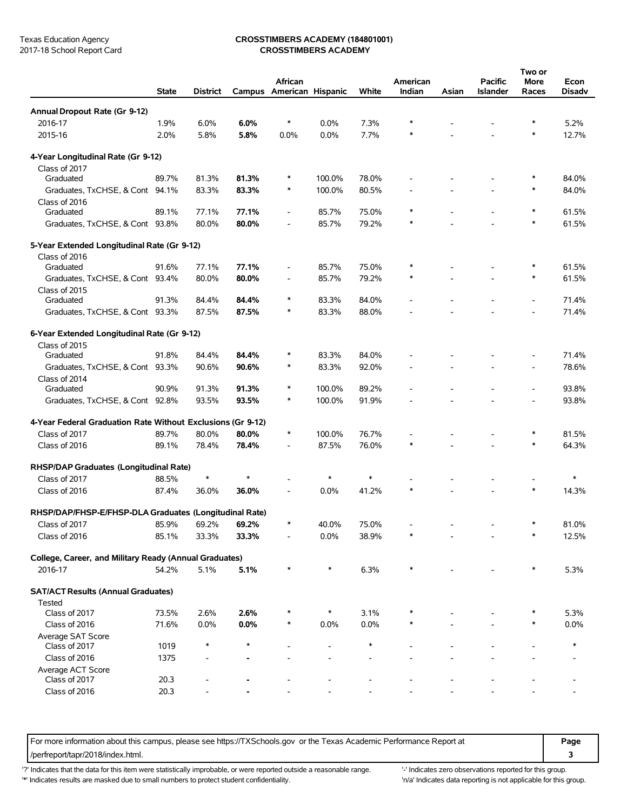### Texas Education Agency **CROSSTIMBERS ACADEMY (184801001)** 2017-18 School Report Card **CROSSTIMBERS ACADEMY**

|                                                             | <b>State</b> | <b>District</b> |         | African                      | Campus American Hispanic | White  | American<br>Indian | Asian | <b>Pacific</b><br><b>Islander</b> | Two or<br><b>More</b><br>Races | Econ<br>Disadv |
|-------------------------------------------------------------|--------------|-----------------|---------|------------------------------|--------------------------|--------|--------------------|-------|-----------------------------------|--------------------------------|----------------|
| Annual Dropout Rate (Gr 9-12)                               |              |                 |         |                              |                          |        |                    |       |                                   |                                |                |
| 2016-17                                                     | 1.9%         | 6.0%            | 6.0%    | $\ast$                       | 0.0%                     | 7.3%   | $\ast$             |       |                                   | *                              | 5.2%           |
| 2015-16                                                     | 2.0%         | 5.8%            | 5.8%    | 0.0%                         | 0.0%                     | 7.7%   | $\ast$             |       |                                   | $\ast$                         | 12.7%          |
| 4-Year Longitudinal Rate (Gr 9-12)                          |              |                 |         |                              |                          |        |                    |       |                                   |                                |                |
| Class of 2017                                               |              |                 |         |                              |                          |        |                    |       |                                   |                                |                |
| Graduated                                                   | 89.7%        | 81.3%           | 81.3%   | $\ast$                       | 100.0%                   | 78.0%  |                    |       |                                   |                                | 84.0%          |
| Graduates, TxCHSE, & Cont 94.1%<br>Class of 2016            |              | 83.3%           | 83.3%   | $\ast$                       | 100.0%                   | 80.5%  |                    |       |                                   | ∗                              | 84.0%          |
| Graduated                                                   | 89.1%        | 77.1%           | 77.1%   | $\overline{\phantom{0}}$     | 85.7%                    | 75.0%  | $\ast$             |       |                                   | $\ast$                         | 61.5%          |
| Graduates, TxCHSE, & Cont 93.8%                             |              | 80.0%           | 80.0%   | $\overline{\phantom{a}}$     | 85.7%                    | 79.2%  | $\ast$             |       |                                   | *                              | 61.5%          |
| 5-Year Extended Longitudinal Rate (Gr 9-12)                 |              |                 |         |                              |                          |        |                    |       |                                   |                                |                |
| Class of 2016                                               |              |                 |         |                              |                          |        |                    |       |                                   |                                |                |
| Graduated                                                   | 91.6%        | 77.1%           | 77.1%   | $\qquad \qquad \blacksquare$ | 85.7%                    | 75.0%  | $\ast$             |       |                                   |                                | 61.5%          |
| Graduates, TxCHSE, & Cont 93.4%                             |              | 80.0%           | 80.0%   | $\overline{\phantom{a}}$     | 85.7%                    | 79.2%  | $\ast$             |       |                                   | $\ast$                         | 61.5%          |
| Class of 2015                                               |              |                 |         |                              |                          |        |                    |       |                                   |                                |                |
| Graduated                                                   | 91.3%        | 84.4%           | 84.4%   | $\ast$                       | 83.3%                    | 84.0%  |                    |       |                                   |                                | 71.4%          |
| Graduates, TxCHSE, & Cont 93.3%                             |              | 87.5%           | 87.5%   | $\ast$                       | 83.3%                    | 88.0%  |                    |       |                                   |                                | 71.4%          |
| 6-Year Extended Longitudinal Rate (Gr 9-12)                 |              |                 |         |                              |                          |        |                    |       |                                   |                                |                |
| Class of 2015                                               |              |                 |         |                              |                          |        |                    |       |                                   |                                |                |
| Graduated                                                   | 91.8%        | 84.4%           | 84.4%   | $\ast$                       | 83.3%                    | 84.0%  |                    |       |                                   |                                | 71.4%          |
| Graduates, TxCHSE, & Cont 93.3%                             |              | 90.6%           | 90.6%   | $\ast$                       | 83.3%                    | 92.0%  |                    |       |                                   |                                | 78.6%          |
| Class of 2014<br>Graduated                                  | 90.9%        | 91.3%           | 91.3%   | $\ast$                       | 100.0%                   | 89.2%  |                    |       |                                   |                                | 93.8%          |
| Graduates, TxCHSE, & Cont 92.8%                             |              | 93.5%           | 93.5%   | $\ast$                       | 100.0%                   | 91.9%  |                    |       |                                   |                                | 93.8%          |
| 4-Year Federal Graduation Rate Without Exclusions (Gr 9-12) |              |                 |         |                              |                          |        |                    |       |                                   |                                |                |
| Class of 2017                                               | 89.7%        | 80.0%           | 80.0%   | $\ast$                       | 100.0%                   | 76.7%  |                    |       |                                   | ∗                              | 81.5%          |
|                                                             |              |                 |         |                              |                          |        | $\ast$             |       |                                   | $\ast$                         |                |
| Class of 2016                                               | 89.1%        | 78.4%           | 78.4%   | $\overline{\phantom{a}}$     | 87.5%                    | 76.0%  |                    |       |                                   |                                | 64.3%          |
| RHSP/DAP Graduates (Longitudinal Rate)                      |              |                 |         |                              |                          |        |                    |       |                                   |                                |                |
| Class of 2017                                               | 88.5%        | $\ast$          | $\star$ |                              | $\ast$                   | $\ast$ |                    |       |                                   |                                | $\ast$         |
| Class of 2016                                               | 87.4%        | 36.0%           | 36.0%   |                              | 0.0%                     | 41.2%  | $\ast$             |       |                                   | $\ast$                         | 14.3%          |
| RHSP/DAP/FHSP-E/FHSP-DLA Graduates (Longitudinal Rate)      |              |                 |         |                              |                          |        |                    |       |                                   |                                |                |
| Class of 2017                                               | 85.9%        | 69.2%           | 69.2%   | *                            | 40.0%                    | 75.0%  |                    |       |                                   |                                | 81.0%          |
| Class of 2016                                               | 85.1%        | 33.3%           | 33.3%   |                              | 0.0%                     | 38.9%  |                    |       |                                   |                                | 12.5%          |
| College, Career, and Military Ready (Annual Graduates)      |              |                 |         |                              |                          |        |                    |       |                                   |                                |                |
| 2016-17                                                     | 54.2%        | 5.1%            | 5.1%    | $\ast$                       | $\ast$                   | 6.3%   | $\ast$             |       |                                   | ∗                              | 5.3%           |
| <b>SAT/ACT Results (Annual Graduates)</b>                   |              |                 |         |                              |                          |        |                    |       |                                   |                                |                |
| Tested                                                      |              |                 |         |                              |                          |        |                    |       |                                   |                                |                |
| Class of 2017                                               | 73.5%        | 2.6%            | 2.6%    |                              | $\ast$                   | 3.1%   |                    |       |                                   |                                | 5.3%           |
| Class of 2016                                               | 71.6%        | 0.0%            | 0.0%    | $\ast$                       | 0.0%                     | 0.0%   | $\ast$             |       |                                   | $\ast$                         | 0.0%           |
| Average SAT Score                                           |              |                 |         |                              |                          |        |                    |       |                                   |                                |                |
| Class of 2017                                               | 1019         | ∗               | $\star$ |                              |                          | $\ast$ |                    |       |                                   |                                | $\ast$         |
| Class of 2016                                               | 1375         |                 |         |                              |                          |        |                    |       |                                   |                                |                |
| Average ACT Score                                           |              |                 |         |                              |                          |        |                    |       |                                   |                                |                |
| Class of 2017                                               | 20.3         |                 |         |                              |                          |        |                    |       |                                   |                                |                |
| Class of 2016                                               | 20.3         |                 |         |                              |                          |        |                    |       |                                   |                                |                |

For more information about this campus, please see https://TXSchools.gov or the Texas Academic Performance Report at **Page** /perfreport/tapr/2018/index.html. **3**

'?' Indicates that the data for this item were statistically improbable, or were reported outside a reasonable range. "Indicates zero observations reported for this group.

'\*' Indicates results are masked due to small numbers to protect student confidentiality. 'n/a' Indicates data reporting is not applicable for this group.